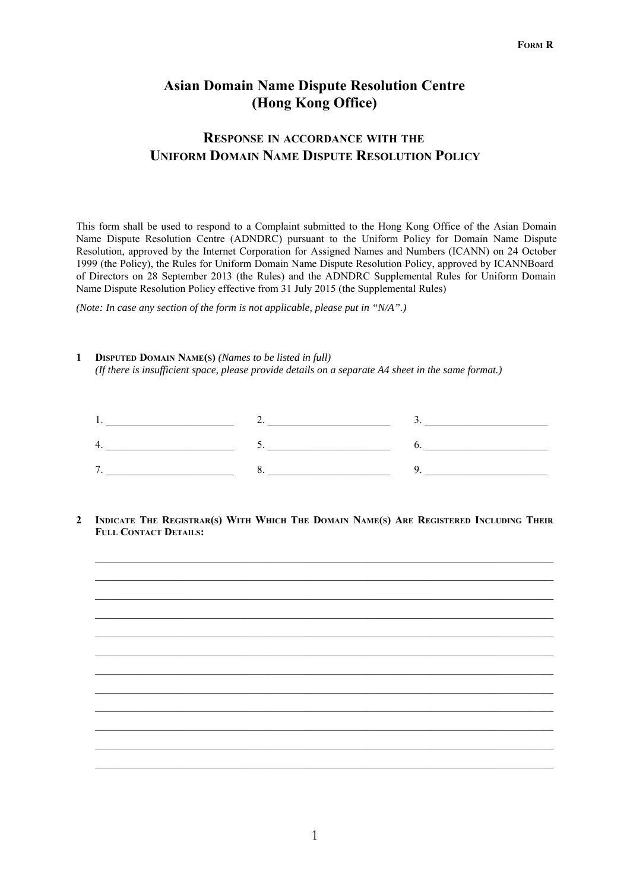# **Asian Domain Name Dispute Resolution Centre (Hong Kong Office)**

# **RESPONSE IN ACCORDANCE WITH THE UNIFORM DOMAIN NAME DISPUTE RESOLUTION POLICY**

This form shall be used to respond to a Complaint submitted to the Hong Kong Office of the Asian Domain Name Dispute Resolution Centre (ADNDRC) pursuant to the Uniform Policy for Domain Name Dispute Resolution, approved by the Internet Corporation for Assigned Names and Numbers (ICANN) on 24 October 1999 (the Policy), the Rules for Uniform Domain Name Dispute Resolution Policy, approved by ICANNBoard of Directors on 28 September 2013 (the Rules) and the ADNDRC Supplemental Rules for Uniform Domain Name Dispute Resolution Policy effective from 31 July 2015 (the Supplemental Rules)

*(Note: In case any section of the form is not applicable, please put in "N/A".)*

## **1 DISPUTED DOMAIN NAME(S)** *(Names to be listed in full) (If there is insufficient space, please provide details on a separate A4 sheet in the same format.)*

| - |  |
|---|--|

**2 INDICATE THE REGISTRAR(S) WITH WHICH THE DOMAIN NAME(S) ARE REGISTERED INCLUDING THEIR FULL CONTACT DETAILS:**

 $\mathcal{L}_\mathcal{L} = \{ \mathcal{L}_\mathcal{L} = \{ \mathcal{L}_\mathcal{L} = \{ \mathcal{L}_\mathcal{L} = \{ \mathcal{L}_\mathcal{L} = \{ \mathcal{L}_\mathcal{L} = \{ \mathcal{L}_\mathcal{L} = \{ \mathcal{L}_\mathcal{L} = \{ \mathcal{L}_\mathcal{L} = \{ \mathcal{L}_\mathcal{L} = \{ \mathcal{L}_\mathcal{L} = \{ \mathcal{L}_\mathcal{L} = \{ \mathcal{L}_\mathcal{L} = \{ \mathcal{L}_\mathcal{L} = \{ \mathcal{L}_\mathcal{$ 

 $\mathcal{L}_\text{max}$  $\mathcal{L}_\mathcal{L} = \{ \mathcal{L}_\mathcal{L} = \{ \mathcal{L}_\mathcal{L} = \{ \mathcal{L}_\mathcal{L} = \{ \mathcal{L}_\mathcal{L} = \{ \mathcal{L}_\mathcal{L} = \{ \mathcal{L}_\mathcal{L} = \{ \mathcal{L}_\mathcal{L} = \{ \mathcal{L}_\mathcal{L} = \{ \mathcal{L}_\mathcal{L} = \{ \mathcal{L}_\mathcal{L} = \{ \mathcal{L}_\mathcal{L} = \{ \mathcal{L}_\mathcal{L} = \{ \mathcal{L}_\mathcal{L} = \{ \mathcal{L}_\mathcal{$ 

 $\mathcal{L}_\mathcal{L} = \{ \mathcal{L}_\mathcal{L} = \{ \mathcal{L}_\mathcal{L} = \{ \mathcal{L}_\mathcal{L} = \{ \mathcal{L}_\mathcal{L} = \{ \mathcal{L}_\mathcal{L} = \{ \mathcal{L}_\mathcal{L} = \{ \mathcal{L}_\mathcal{L} = \{ \mathcal{L}_\mathcal{L} = \{ \mathcal{L}_\mathcal{L} = \{ \mathcal{L}_\mathcal{L} = \{ \mathcal{L}_\mathcal{L} = \{ \mathcal{L}_\mathcal{L} = \{ \mathcal{L}_\mathcal{L} = \{ \mathcal{L}_\mathcal{$ 

 $\mathcal{L}_\text{max}$  $\mathcal{L}_\mathcal{L} = \{ \mathcal{L}_\mathcal{L} = \{ \mathcal{L}_\mathcal{L} = \{ \mathcal{L}_\mathcal{L} = \{ \mathcal{L}_\mathcal{L} = \{ \mathcal{L}_\mathcal{L} = \{ \mathcal{L}_\mathcal{L} = \{ \mathcal{L}_\mathcal{L} = \{ \mathcal{L}_\mathcal{L} = \{ \mathcal{L}_\mathcal{L} = \{ \mathcal{L}_\mathcal{L} = \{ \mathcal{L}_\mathcal{L} = \{ \mathcal{L}_\mathcal{L} = \{ \mathcal{L}_\mathcal{L} = \{ \mathcal{L}_\mathcal{$ 

 $\mathcal{L}_\mathcal{L} = \{ \mathcal{L}_\mathcal{L} = \{ \mathcal{L}_\mathcal{L} = \{ \mathcal{L}_\mathcal{L} = \{ \mathcal{L}_\mathcal{L} = \{ \mathcal{L}_\mathcal{L} = \{ \mathcal{L}_\mathcal{L} = \{ \mathcal{L}_\mathcal{L} = \{ \mathcal{L}_\mathcal{L} = \{ \mathcal{L}_\mathcal{L} = \{ \mathcal{L}_\mathcal{L} = \{ \mathcal{L}_\mathcal{L} = \{ \mathcal{L}_\mathcal{L} = \{ \mathcal{L}_\mathcal{L} = \{ \mathcal{L}_\mathcal{$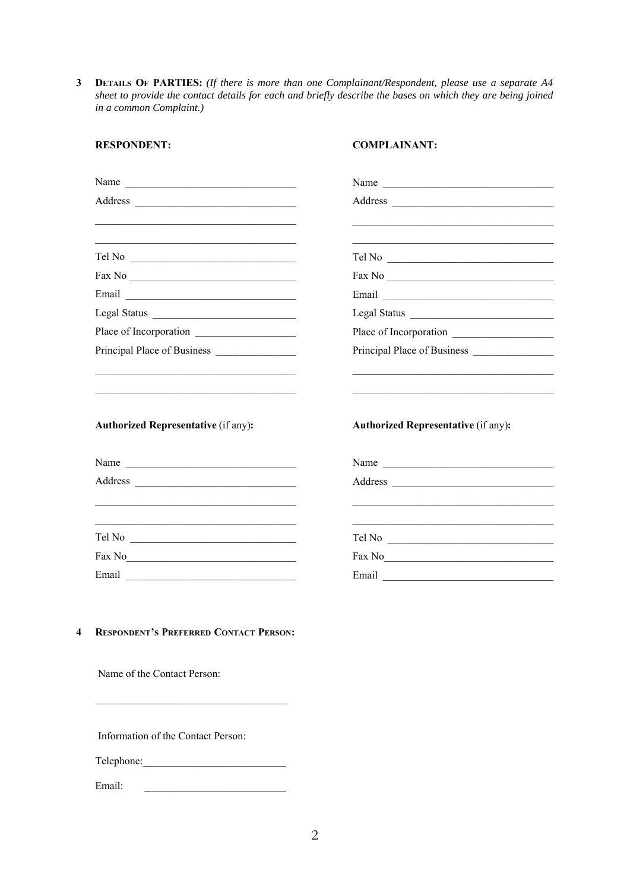**3 DETAILS OF PARTIES:** *(If there is more than one Complainant/Respondent, please use a separate A4 sheet to provide the contact details for each and briefly describe the bases on which they are being joined in a common Complaint.)*

**COMPLAINANT:**

| <u> 1980 - Jan James James James James James James James James James James James James James James James James J</u><br>the control of the control of the control of the control of the control of the control of | <u> 2002 - Johann John Harry Harry Harry Harry Harry Harry Harry Harry Harry Harry Harry Harry Harry Harry Harry H</u> |
|-------------------------------------------------------------------------------------------------------------------------------------------------------------------------------------------------------------------|------------------------------------------------------------------------------------------------------------------------|
|                                                                                                                                                                                                                   |                                                                                                                        |
| Fax No $\overline{\phantom{a}}$                                                                                                                                                                                   |                                                                                                                        |
|                                                                                                                                                                                                                   |                                                                                                                        |
|                                                                                                                                                                                                                   |                                                                                                                        |
|                                                                                                                                                                                                                   | Place of Incorporation                                                                                                 |
|                                                                                                                                                                                                                   |                                                                                                                        |
| <b>Authorized Representative (if any):</b>                                                                                                                                                                        | <b>Authorized Representative (if any):</b>                                                                             |
| Name                                                                                                                                                                                                              | Name                                                                                                                   |
|                                                                                                                                                                                                                   | Address                                                                                                                |
|                                                                                                                                                                                                                   |                                                                                                                        |
| $\Gamma$ el No                                                                                                                                                                                                    | Tel No                                                                                                                 |
|                                                                                                                                                                                                                   |                                                                                                                        |
| $\text{Fax No}$                                                                                                                                                                                                   |                                                                                                                        |

**4 RESPONDENT'S PREFERRED CONTACT PERSON:**

Name of the Contact Person:

**RESPONDENT:**

Information of the Contact Person:

Telephone:\_ \_\_\_\_\_\_\_\_\_\_\_\_\_\_\_\_\_\_\_\_\_\_\_\_\_\_

Email: \_\_\_\_\_\_\_\_\_\_\_\_\_\_\_\_\_\_\_\_\_\_\_\_\_\_\_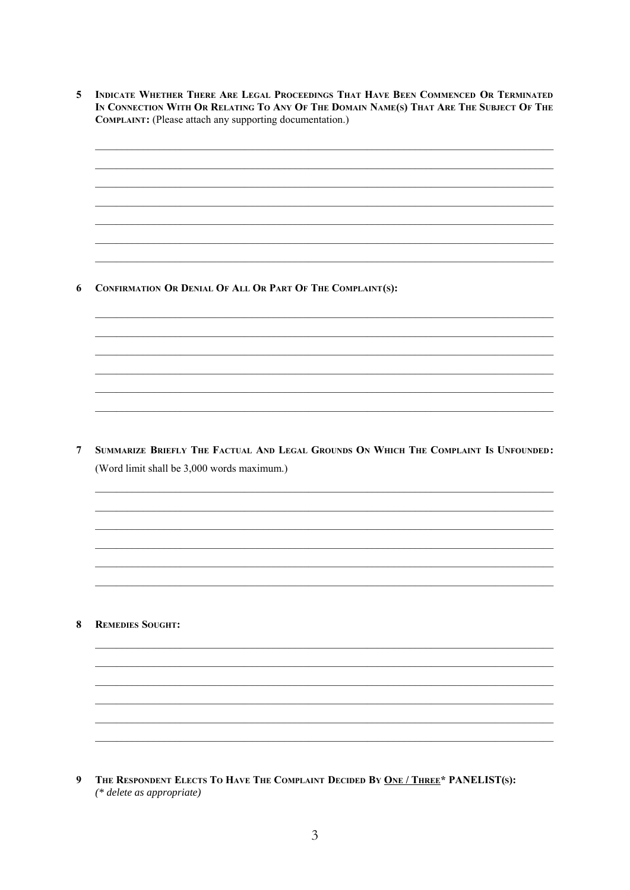$\overline{5}$ INDICATE WHETHER THERE ARE LEGAL PROCEEDINGS THAT HAVE BEEN COMMENCED OR TERMINATED IN CONNECTION WITH OR RELATING TO ANY OF THE DOMAIN NAME(S) THAT ARE THE SUBJECT OF THE COMPLAINT: (Please attach any supporting documentation.)

6 CONFIRMATION OR DENIAL OF ALL OR PART OF THE COMPLAINT(S):

7 SUMMARIZE BRIEFLY THE FACTUAL AND LEGAL GROUNDS ON WHICH THE COMPLAINT IS UNFOUNDED: (Word limit shall be 3,000 words maximum.)

**8** REMEDIES SOUGHT:

 $\boldsymbol{9}$ THE RESPONDENT ELECTS TO HAVE THE COMPLAINT DECIDED BY ONE / THREE\* PANELIST(S): (\* delete as appropriate)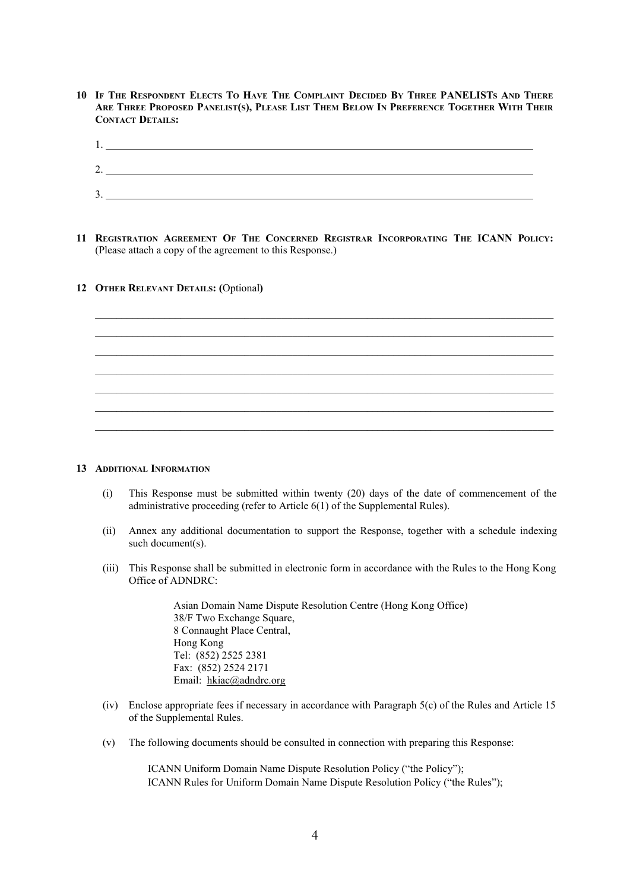**10 IF THE RESPONDENT ELECTS TO HAVE THE COMPLAINT DECIDED BY THREE PANELISTS AND THERE ARE THREE PROPOSED PANELIST(S), PLEASE LIST THEM BELOW IN PREFERENCE TOGETHER WITH THEIR CONTACT DETAILS:**

| 1.                          |  |
|-----------------------------|--|
|                             |  |
| <u>.</u>                    |  |
| $\blacktriangleleft$<br>. ب |  |
|                             |  |

**11 REGISTRATION AGREEMENT OF THE CONCERNED REGISTRAR INCORPORATING THE ICANN POLICY:** (Please attach a copy of the agreement to this Response.)

 $\mathcal{L}_\mathcal{L} = \{ \mathcal{L}_\mathcal{L} = \{ \mathcal{L}_\mathcal{L} = \{ \mathcal{L}_\mathcal{L} = \{ \mathcal{L}_\mathcal{L} = \{ \mathcal{L}_\mathcal{L} = \{ \mathcal{L}_\mathcal{L} = \{ \mathcal{L}_\mathcal{L} = \{ \mathcal{L}_\mathcal{L} = \{ \mathcal{L}_\mathcal{L} = \{ \mathcal{L}_\mathcal{L} = \{ \mathcal{L}_\mathcal{L} = \{ \mathcal{L}_\mathcal{L} = \{ \mathcal{L}_\mathcal{L} = \{ \mathcal{L}_\mathcal{$ 

 $\mathcal{L}_\text{max}$  $\mathcal{L}_\mathcal{L} = \{ \mathcal{L}_\mathcal{L} = \{ \mathcal{L}_\mathcal{L} = \{ \mathcal{L}_\mathcal{L} = \{ \mathcal{L}_\mathcal{L} = \{ \mathcal{L}_\mathcal{L} = \{ \mathcal{L}_\mathcal{L} = \{ \mathcal{L}_\mathcal{L} = \{ \mathcal{L}_\mathcal{L} = \{ \mathcal{L}_\mathcal{L} = \{ \mathcal{L}_\mathcal{L} = \{ \mathcal{L}_\mathcal{L} = \{ \mathcal{L}_\mathcal{L} = \{ \mathcal{L}_\mathcal{L} = \{ \mathcal{L}_\mathcal{$ 

 $\mathcal{L}_\mathcal{L} = \{ \mathcal{L}_\mathcal{L} = \{ \mathcal{L}_\mathcal{L} = \{ \mathcal{L}_\mathcal{L} = \{ \mathcal{L}_\mathcal{L} = \{ \mathcal{L}_\mathcal{L} = \{ \mathcal{L}_\mathcal{L} = \{ \mathcal{L}_\mathcal{L} = \{ \mathcal{L}_\mathcal{L} = \{ \mathcal{L}_\mathcal{L} = \{ \mathcal{L}_\mathcal{L} = \{ \mathcal{L}_\mathcal{L} = \{ \mathcal{L}_\mathcal{L} = \{ \mathcal{L}_\mathcal{L} = \{ \mathcal{L}_\mathcal{$ 

## **12 OTHER RELEVANT DETAILS: (**Optional**)**

#### **13 ADDITIONAL INFORMATION**

- (i) This Response must be submitted within twenty (20) days of the date of commencement of the administrative proceeding (refer to Article 6(1) of the Supplemental Rules).
- (ii) Annex any additional documentation to support the Response, together with a schedule indexing such document(s).
- (iii) This Response shall be submitted in electronic form in accordance with the Rules to the Hong Kong Office of ADNDRC:

Asian Domain Name Dispute Resolution Centre (Hong Kong Office) 38/F Two Exchange Square, 8 Connaught Place Central, Hong Kong Tel: (852) 2525 2381 Fax: (852) 2524 2171 Email: hkiac@adndrc.org

- (iv) Enclose appropriate fees if necessary in accordance with Paragraph 5(c) of the Rules and Article 15 of the Supplemental Rules.
- (v) The following documents should be consulted in connection with preparing this Response:

ICANN Uniform Domain Name Dispute Resolution Policy ("the Policy"); ICANN Rules for Uniform Domain Name Dispute Resolution Policy ("the Rules");